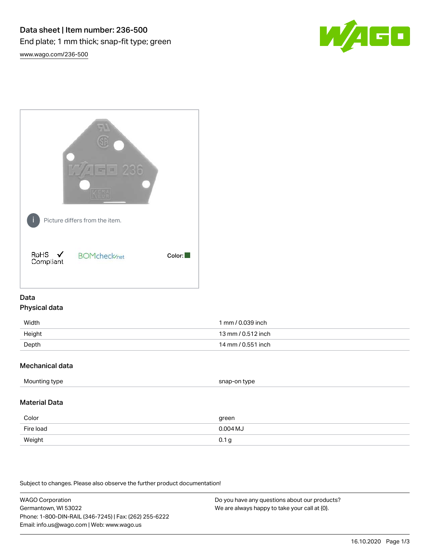



# Data Physical data

| Width  | 1 mm / 0.039 inch  |
|--------|--------------------|
| Height | 13 mm / 0.512 inch |
| Depth  | 14 mm / 0.551 inch |

# Mechanical data

| Mounting type | snap-on type |
|---------------|--------------|
|               |              |

# Material Data

| Color     | green            |
|-----------|------------------|
| Fire load | $0.004$ MJ       |
| Weight    | 0.1 <sub>g</sub> |

Subject to changes. Please also observe the further product documentation!

WAGO Corporation Germantown, WI 53022 Phone: 1-800-DIN-RAIL (346-7245) | Fax: (262) 255-6222 Email: info.us@wago.com | Web: www.wago.us Do you have any questions about our products? We are always happy to take your call at {0}.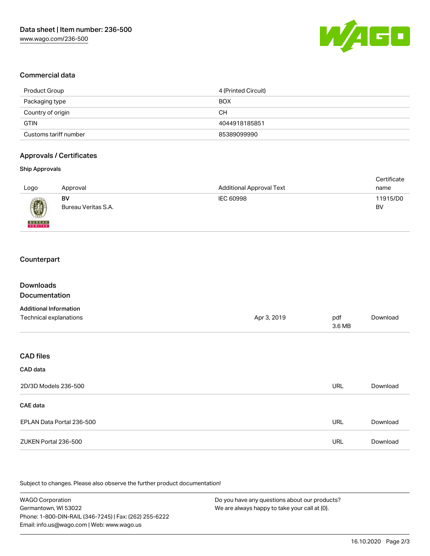

### Commercial data

| Product Group         | 4 (Printed Circuit) |
|-----------------------|---------------------|
| Packaging type        | <b>BOX</b>          |
| Country of origin     | CН                  |
| GTIN                  | 4044918185851       |
| Customs tariff number | 85389099990         |

## Approvals / Certificates

#### Ship Approvals

| Logo          | Approval            | <b>Additional Approval Text</b> | Certificate<br>name |
|---------------|---------------------|---------------------------------|---------------------|
| 0             | BV                  | IEC 60998                       | 11915/D0            |
| <b>BUNEAU</b> | Bureau Veritas S.A. |                                 | BV                  |

# **Counterpart**

| <b>Downloads</b><br>Documentation |             |               |          |
|-----------------------------------|-------------|---------------|----------|
| <b>Additional Information</b>     |             |               |          |
| Technical explanations            | Apr 3, 2019 | pdf<br>3.6 MB | Download |
|                                   |             |               |          |
| <b>CAD files</b>                  |             |               |          |
| CAD data                          |             |               |          |
| 2D/3D Models 236-500              |             | <b>URL</b>    | Download |
| <b>CAE</b> data                   |             |               |          |
| EPLAN Data Portal 236-500         |             | <b>URL</b>    | Download |
| ZUKEN Portal 236-500              |             | URL           | Download |
|                                   |             |               |          |

.<br>Subject to changes. Please also observe the further product documentation!

WAGO Corporation Germantown, WI 53022 Phone: 1-800-DIN-RAIL (346-7245) | Fax: (262) 255-6222 Email: info.us@wago.com | Web: www.wago.us Do you have any questions about our products? We are always happy to take your call at {0}.